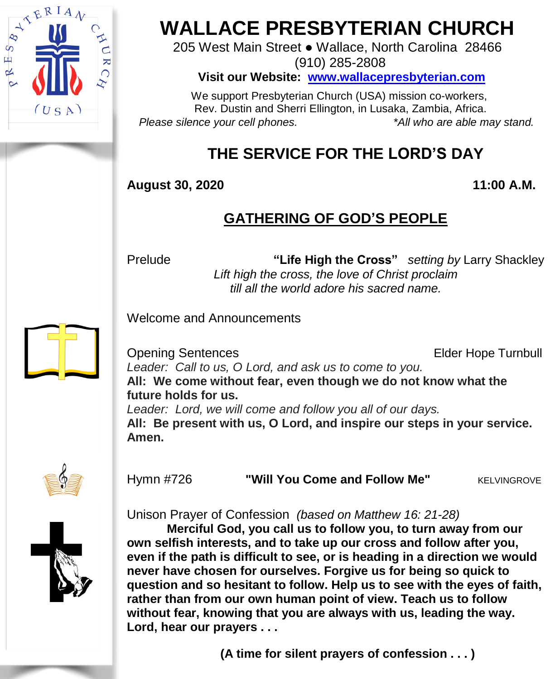

# **WALLACE PRESBYTERIAN CHURCH**

205 West Main Street ● Wallace, North Carolina 28466 (910) 285-2808

**Visit our Website: [www.wallacepresbyterian.com](http://www.wallacepresbyterian.com/)**

 We support Presbyterian Church (USA) mission co-workers, Rev. Dustin and Sherri Ellington, in Lusaka, Zambia, Africa. *Please silence your cell phones. \*All who are able may stand.*

## **THE SERVICE FOR THE LORD'S DAY**

**August 30, 2020 11:00 A.M.**

### **GATHERING OF GOD'S PEOPLE**

Prelude **"Life High the Cross"** *setting by* Larry Shackley *Lift high the cross, the love of Christ proclaim till all the world adore his sacred name.*

Welcome and Announcements



Opening Sentences **Elder Hope Turnbull** 

*Leader: Call to us, O Lord, and ask us to come to you.* **All: We come without fear, even though we do not know what the future holds for us.**

*Leader: Lord, we will come and follow you all of our days.* **All: Be present with us, O Lord, and inspire our steps in your service. Amen.**



Hymn #726 **"Will You Come and Follow Me"** KELVINGROVE



Unison Prayer of Confession *(based on Matthew 16: 21-28)*

**Merciful God, you call us to follow you, to turn away from our own selfish interests, and to take up our cross and follow after you, even if the path is difficult to see, or is heading in a direction we would never have chosen for ourselves. Forgive us for being so quick to question and so hesitant to follow. Help us to see with the eyes of faith, rather than from our own human point of view. Teach us to follow without fear, knowing that you are always with us, leading the way. Lord, hear our prayers . . .**

 **(A time for silent prayers of confession . . . )**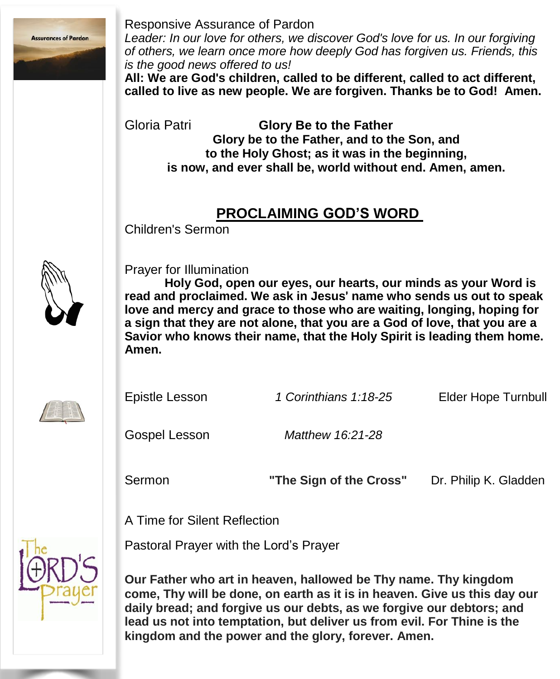

Responsive Assurance of Pardon

*Leader: In our love for others, we discover God's love for us. In our forgiving of others, we learn once more how deeply God has forgiven us. Friends, this is the good news offered to us!*

**All: We are God's children, called to be different, called to act different, called to live as new people. We are forgiven. Thanks be to God! Amen.**

Gloria Patri **Glory Be to the Father Glory be to the Father, and to the Son, and to the Holy Ghost; as it was in the beginning, is now, and ever shall be, world without end. Amen, amen.**

#### **PROCLAIMING GOD'S WORD**

Children's Sermon



Prayer for Illumination

**Holy God, open our eyes, our hearts, our minds as your Word is read and proclaimed. We ask in Jesus**' **name who sends us out to speak love and mercy and grace to those who are waiting, longing, hoping for a sign that they are not alone, that you are a God of love, that you are a Savior who knows their name, that the Holy Spirit is leading them home. Amen.**

Epistle Lesson *1 Corinthians 1:18-25* Elder Hope Turnbull

Gospel Lesson *Matthew 16:21-28*

Sermon **"The Sign of the Cross"** Dr. Philip K. Gladden

A Time for Silent Reflection

Pastoral Prayer with the Lord's Prayer



**Our Father who art in heaven, hallowed be Thy name. Thy kingdom come, Thy will be done, on earth as it is in heaven. Give us this day our daily bread; and forgive us our debts, as we forgive our debtors; and lead us not into temptation, but deliver us from evil. For Thine is the kingdom and the power and the glory, forever. Amen.**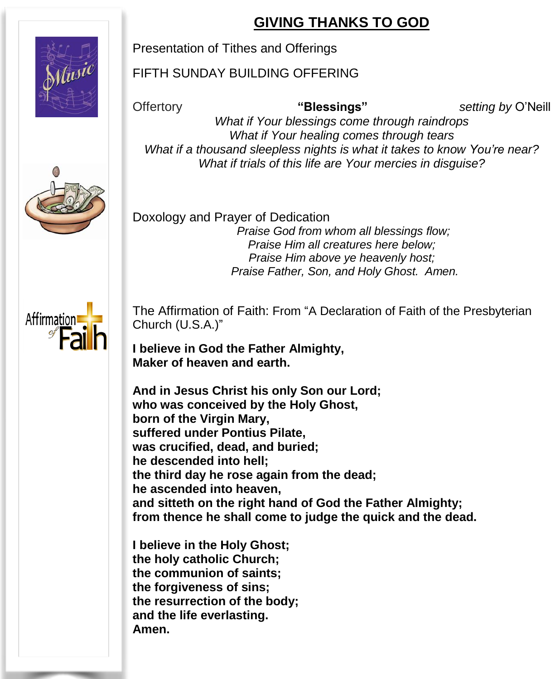#### **GIVING THANKS TO GOD**

Presentation of Tithes and Offerings

#### FIFTH SUNDAY BUILDING OFFERING

Offertory **"Blessings"** *setting by* O'Neill *What if Your blessings come through raindrops What if Your healing comes through tears What if a thousand sleepless nights is what it takes to know You're near? What if trials of this life are Your mercies in disguise?*



Doxology and Prayer of Dedication *Praise God from whom all blessings flow; Praise Him all creatures here below; Praise Him above ye heavenly host; Praise Father, Son, and Holy Ghost. Amen.*



The Affirmation of Faith: From "A Declaration of Faith of the Presbyterian Church (U.S.A.)"

**I believe in God the Father Almighty, Maker of heaven and earth.**

**And in Jesus Christ his only Son our Lord; who was conceived by the Holy Ghost, born of the Virgin Mary, suffered under Pontius Pilate, was crucified, dead, and buried; he descended into hell; the third day he rose again from the dead; he ascended into heaven, and sitteth on the right hand of God the Father Almighty; from thence he shall come to judge the quick and the dead.**

**I believe in the Holy Ghost; the holy catholic Church; the communion of saints; the forgiveness of sins; the resurrection of the body; and the life everlasting. Amen.**